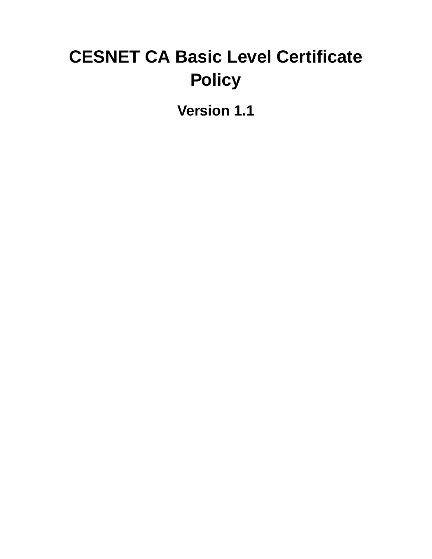# **CESNET CA Basic Level Certificate Policy**

**Version 1.1**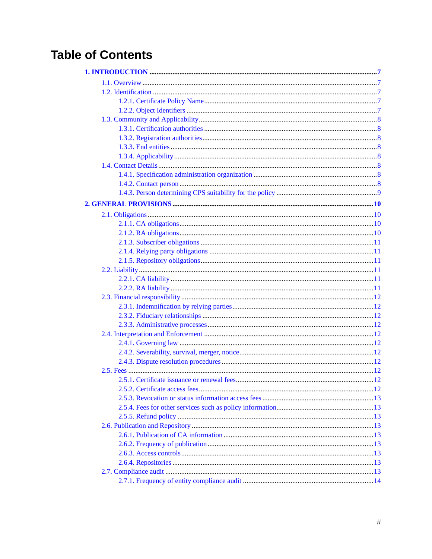# **Table of Contents**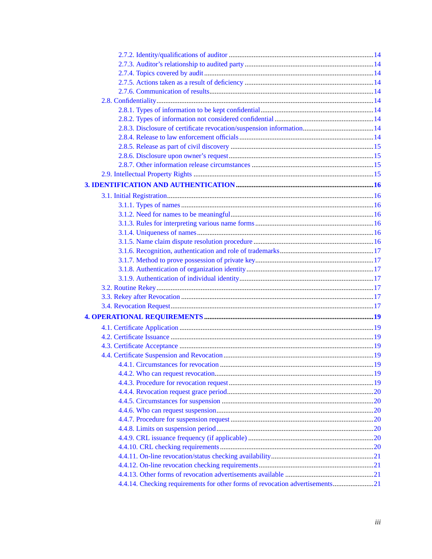| 4.4.14. Checking requirements for other forms of revocation advertisements21 |  |
|------------------------------------------------------------------------------|--|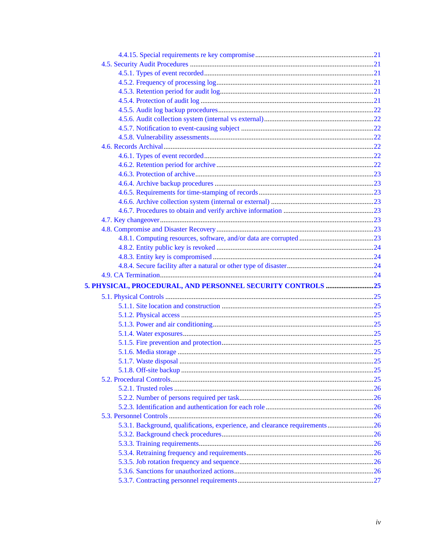| 5.3.1. Background, qualifications, experience, and clearance requirements 26 |  |
|------------------------------------------------------------------------------|--|
|                                                                              |  |
|                                                                              |  |
|                                                                              |  |
|                                                                              |  |
|                                                                              |  |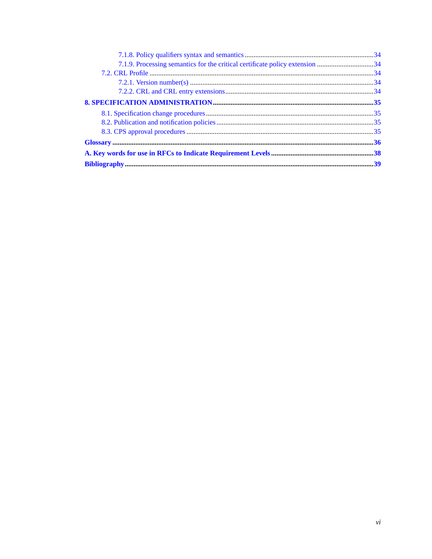| 7.1.9. Processing semantics for the critical certificate policy extension 34 |  |
|------------------------------------------------------------------------------|--|
|                                                                              |  |
|                                                                              |  |
|                                                                              |  |
|                                                                              |  |
|                                                                              |  |
|                                                                              |  |
|                                                                              |  |
|                                                                              |  |
|                                                                              |  |
|                                                                              |  |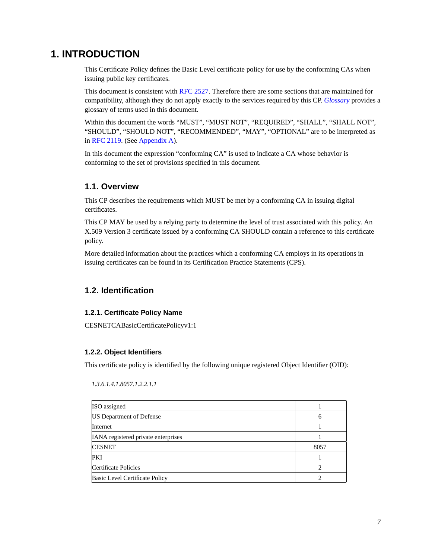## <span id="page-6-0"></span>**1. INTRODUCTION**

This Certificate Policy defines the Basic Level certificate policy for use by the conforming CAs when issuing public key certificates.

This document is consistent with [RFC 2527](#page-38-1). Therefore there are some sections that are maintained for compatibility, although they do not apply exactly to the services required by this CP. *[Glossary](#page-35-0)* provides a glossary of terms used in this document.

Within this document the words "MUST", "MUST NOT", "REQUIRED", "SHALL", "SHALL NOT", "SHOULD", "SHOULD NOT", "RECOMMENDED", "MAY", "OPTIONAL" are to be interpreted as in [RFC 2119](#page-38-2). (See [Appendix A](#page-37-0)).

In this document the expression "conforming CA" is used to indicate a CA whose behavior is conforming to the set of provisions specified in this document.

### <span id="page-6-1"></span>**1.1. Overview**

This CP describes the requirements which MUST be met by a conforming CA in issuing digital certificates.

This CP MAY be used by a relying party to determine the level of trust associated with this policy. An X.509 Version 3 certificate issued by a conforming CA SHOULD contain a reference to this certificate policy.

More detailed information about the practices which a conforming CA employs in its operations in issuing certificates can be found in its Certification Practice Statements (CPS).

### <span id="page-6-3"></span><span id="page-6-2"></span>**1.2. Identification**

### **1.2.1. Certificate Policy Name**

<span id="page-6-4"></span>CESNETCABasicCertificatePolicyv1:1

### **1.2.2. Object Identifiers**

This certificate policy is identified by the following unique registered Object Identifier (OID):

| ISO assigned                               |      |
|--------------------------------------------|------|
| <b>US Department of Defense</b>            |      |
| Internet                                   |      |
| <b>IANA</b> registered private enterprises |      |
| <b>CESNET</b>                              | 8057 |
| PKI                                        |      |
| Certificate Policies                       |      |
| Basic Level Certificate Policy             |      |

*1.3.6.1.4.1.8057.1.2.2.1.1*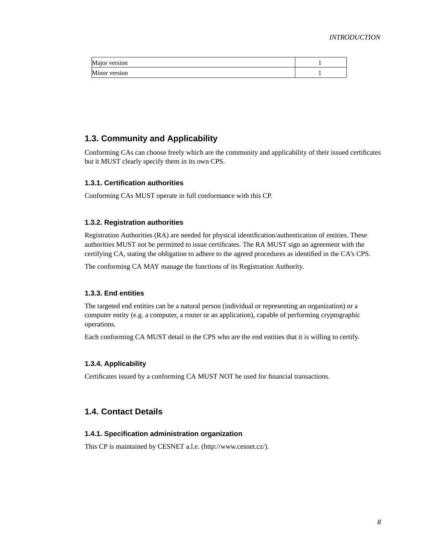| IN.<br>version<br>ΙUΙ<br>$\mu$ via |  |
|------------------------------------|--|
| IN.<br>version<br><b>TAILIN</b>    |  |

### <span id="page-7-0"></span>**1.3. Community and Applicability**

Conforming CAs can choose freely which are the community and applicability of their issued certificates but it MUST clearly specify them in its own CPS.

### <span id="page-7-1"></span>**1.3.1. Certification authorities**

<span id="page-7-2"></span>Conforming CAs MUST operate in full conformance with this CP.

### **1.3.2. Registration authorities**

Registration Authorities (RA) are needed for physical identification/authentication of entities. These authorities MUST not be permitted to issue certificates. The RA MUST sign an agreement with the certifying CA, stating the obligation to adhere to the agreed procedures as identified in the CA's CPS.

<span id="page-7-3"></span>The conforming CA MAY manage the functions of its Registration Authority.

### **1.3.3. End entities**

The targeted end entities can be a natural person (individual or representing an organization) or a computer entity (e.g. a computer, a router or an application), capable of performing cryptographic operations.

<span id="page-7-4"></span>Each conforming CA MUST detail in the CPS who are the end entities that it is willing to certify.

### **1.3.4. Applicability**

Certificates issued by a conforming CA MUST NOT be used for financial transactions.

### <span id="page-7-6"></span><span id="page-7-5"></span>**1.4. Contact Details**

### **1.4.1. Specification administration organization**

<span id="page-7-7"></span>This CP is maintained by CESNET a.l.e. (http://www.cesnet.cz/).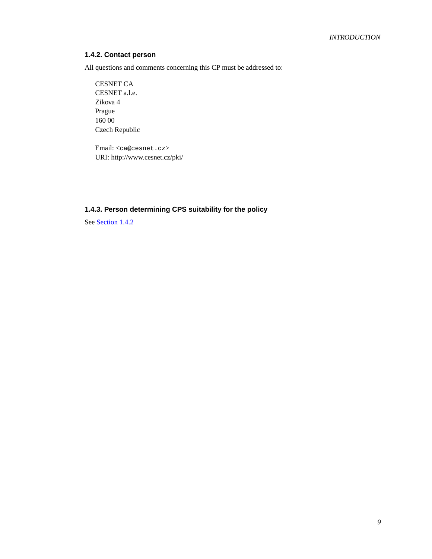### **1.4.2. Contact person**

All questions and comments concerning this CP must be addressed to:

CESNET CA CESNET a.l.e. Zikova 4 Prague 160 00 Czech Republic

Email: <ca@cesnet.cz> URI: http://www.cesnet.cz/pki/

### <span id="page-8-0"></span>**1.4.3. Person determining CPS suitability for the policy**

See [Section 1.4.2](#page-7-7)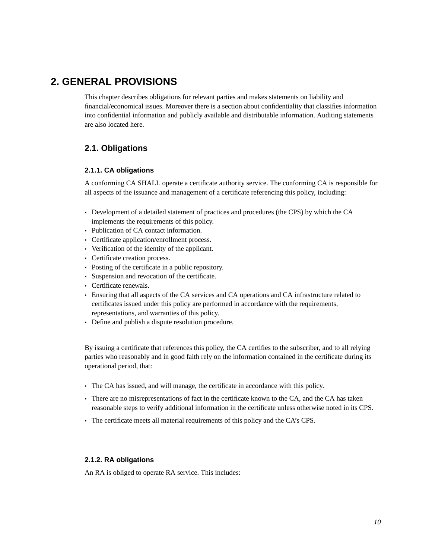# <span id="page-9-0"></span>**2. GENERAL PROVISIONS**

This chapter describes obligations for relevant parties and makes statements on liability and financial/economical issues. Moreover there is a section about confidentiality that classifies information into confidential information and publicly available and distributable information. Auditing statements are also located here.

### <span id="page-9-2"></span><span id="page-9-1"></span>**2.1. Obligations**

### **2.1.1. CA obligations**

A conforming CA SHALL operate a certificate authority service. The conforming CA is responsible for all aspects of the issuance and management of a certificate referencing this policy, including:

- Development of a detailed statement of practices and procedures (the CPS) by which the CA implements the requirements of this policy.
- Publication of CA contact information.
- Certificate application/enrollment process.
- Verification of the identity of the applicant.
- Certificate creation process.
- Posting of the certificate in a public repository.
- Suspension and revocation of the certificate.
- Certificate renewals.
- Ensuring that all aspects of the CA services and CA operations and CA infrastructure related to certificates issued under this policy are performed in accordance with the requirements, representations, and warranties of this policy.
- Define and publish a dispute resolution procedure.

By issuing a certificate that references this policy, the CA certifies to the subscriber, and to all relying parties who reasonably and in good faith rely on the information contained in the certificate during its operational period, that:

- The CA has issued, and will manage, the certificate in accordance with this policy.
- There are no misrepresentations of fact in the certificate known to the CA, and the CA has taken reasonable steps to verify additional information in the certificate unless otherwise noted in its CPS.
- The certificate meets all material requirements of this policy and the CA's CPS.

### <span id="page-9-3"></span>**2.1.2. RA obligations**

An RA is obliged to operate RA service. This includes: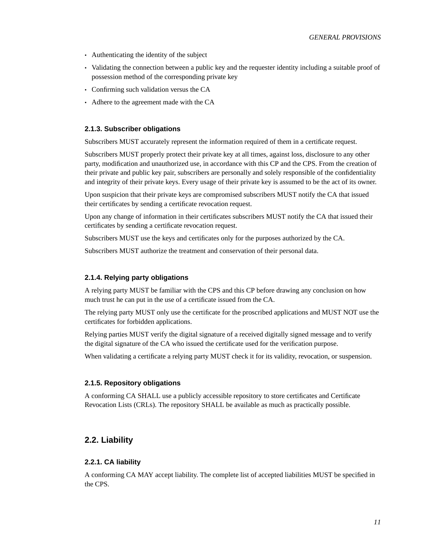- Authenticating the identity of the subject
- Validating the connection between a public key and the requester identity including a suitable proof of possession method of the corresponding private key
- Confirming such validation versus the CA
- <span id="page-10-0"></span>• Adhere to the agreement made with the CA

#### **2.1.3. Subscriber obligations**

Subscribers MUST accurately represent the information required of them in a certificate request.

Subscribers MUST properly protect their private key at all times, against loss, disclosure to any other party, modification and unauthorized use, in accordance with this CP and the CPS. From the creation of their private and public key pair, subscribers are personally and solely responsible of the confidentiality and integrity of their private keys. Every usage of their private key is assumed to be the act of its owner.

Upon suspicion that their private keys are compromised subscribers MUST notify the CA that issued their certificates by sending a certificate revocation request.

Upon any change of information in their certificates subscribers MUST notify the CA that issued their certificates by sending a certificate revocation request.

Subscribers MUST use the keys and certificates only for the purposes authorized by the CA.

<span id="page-10-1"></span>Subscribers MUST authorize the treatment and conservation of their personal data.

#### **2.1.4. Relying party obligations**

A relying party MUST be familiar with the CPS and this CP before drawing any conclusion on how much trust he can put in the use of a certificate issued from the CA.

The relying party MUST only use the certificate for the proscribed applications and MUST NOT use the certificates for forbidden applications.

Relying parties MUST verify the digital signature of a received digitally signed message and to verify the digital signature of the CA who issued the certificate used for the verification purpose.

<span id="page-10-2"></span>When validating a certificate a relying party MUST check it for its validity, revocation, or suspension.

### **2.1.5. Repository obligations**

A conforming CA SHALL use a publicly accessible repository to store certificates and Certificate Revocation Lists (CRLs). The repository SHALL be available as much as practically possible.

### <span id="page-10-4"></span><span id="page-10-3"></span>**2.2. Liability**

#### **2.2.1. CA liability**

<span id="page-10-5"></span>A conforming CA MAY accept liability. The complete list of accepted liabilities MUST be specified in the CPS.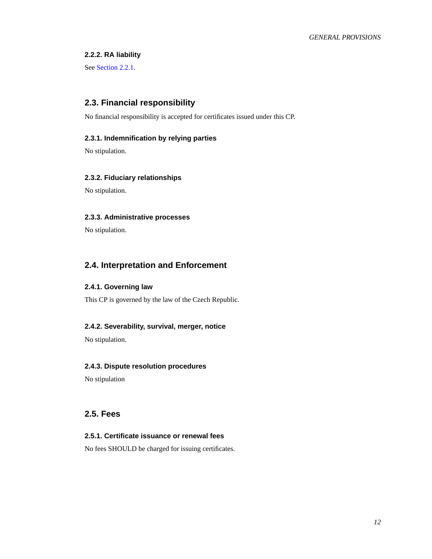### <span id="page-11-11"></span>**2.2.2. RA liability**

<span id="page-11-0"></span>See [Section 2.2.1.](#page-10-4)

### **2.3. Financial responsibility**

<span id="page-11-1"></span>No financial responsibility is accepted for certificates issued under this CP.

### **2.3.1. Indemnification by relying parties**

<span id="page-11-2"></span>No stipulation.

### **2.3.2. Fiduciary relationships**

<span id="page-11-3"></span>No stipulation.

### **2.3.3. Administrative processes**

No stipulation.

### <span id="page-11-5"></span><span id="page-11-4"></span>**2.4. Interpretation and Enforcement**

### **2.4.1. Governing law**

<span id="page-11-6"></span>This CP is governed by the law of the Czech Republic.

### **2.4.2. Severability, survival, merger, notice**

<span id="page-11-7"></span>No stipulation.

### **2.4.3. Dispute resolution procedures**

No stipulation

### <span id="page-11-9"></span><span id="page-11-8"></span>**2.5. Fees**

### **2.5.1. Certificate issuance or renewal fees**

<span id="page-11-10"></span>No fees SHOULD be charged for issuing certificates.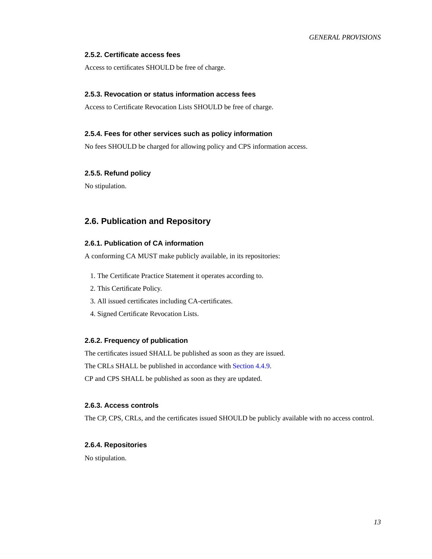### **2.5.2. Certificate access fees**

Access to certificates SHOULD be free of charge.

#### **2.5.3. Revocation or status information access fees**

<span id="page-12-0"></span>Access to Certificate Revocation Lists SHOULD be free of charge.

#### **2.5.4. Fees for other services such as policy information**

<span id="page-12-1"></span>No fees SHOULD be charged for allowing policy and CPS information access.

### **2.5.5. Refund policy**

No stipulation.

### <span id="page-12-3"></span><span id="page-12-2"></span>**2.6. Publication and Repository**

### **2.6.1. Publication of CA information**

A conforming CA MUST make publicly available, in its repositories:

- 1. The Certificate Practice Statement it operates according to.
- 2. This Certificate Policy.
- 3. All issued certificates including CA-certificates.
- 4. Signed Certificate Revocation Lists.

#### <span id="page-12-4"></span>**2.6.2. Frequency of publication**

The certificates issued SHALL be published as soon as they are issued.

The CRLs SHALL be published in accordance with [Section 4.4.9](#page-19-5).

<span id="page-12-5"></span>CP and CPS SHALL be published as soon as they are updated.

### **2.6.3. Access controls**

<span id="page-12-6"></span>The CP, CPS, CRLs, and the certificates issued SHOULD be publicly available with no access control.

#### <span id="page-12-7"></span>**2.6.4. Repositories**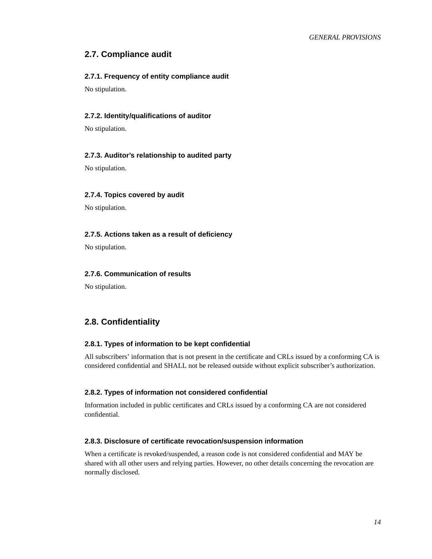### <span id="page-13-0"></span>**2.7. Compliance audit**

### **2.7.1. Frequency of entity compliance audit**

<span id="page-13-1"></span>No stipulation.

### **2.7.2. Identity/qualifications of auditor**

<span id="page-13-2"></span>No stipulation.

### **2.7.3. Auditor's relationship to audited party**

<span id="page-13-3"></span>No stipulation.

#### **2.7.4. Topics covered by audit**

<span id="page-13-4"></span>No stipulation.

#### **2.7.5. Actions taken as a result of deficiency**

<span id="page-13-5"></span>No stipulation.

### **2.7.6. Communication of results**

No stipulation.

### <span id="page-13-7"></span><span id="page-13-6"></span>**2.8. Confidentiality**

### **2.8.1. Types of information to be kept confidential**

All subscribers' information that is not present in the certificate and CRLs issued by a conforming CA is considered confidential and SHALL not be released outside without explicit subscriber's authorization.

### <span id="page-13-8"></span>**2.8.2. Types of information not considered confidential**

Information included in public certificates and CRLs issued by a conforming CA are not considered confidential.

#### <span id="page-13-9"></span>**2.8.3. Disclosure of certificate revocation/suspension information**

<span id="page-13-10"></span>When a certificate is revoked/suspended, a reason code is not considered confidential and MAY be shared with all other users and relying parties. However, no other details concerning the revocation are normally disclosed.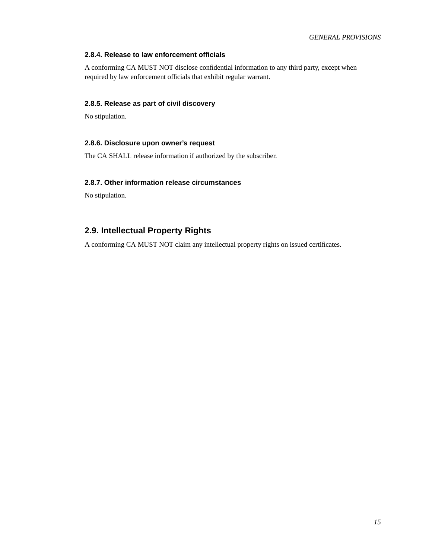### **2.8.4. Release to law enforcement officials**

A conforming CA MUST NOT disclose confidential information to any third party, except when required by law enforcement officials that exhibit regular warrant.

### <span id="page-14-0"></span>**2.8.5. Release as part of civil discovery**

<span id="page-14-1"></span>No stipulation.

### **2.8.6. Disclosure upon owner's request**

<span id="page-14-2"></span>The CA SHALL release information if authorized by the subscriber.

### **2.8.7. Other information release circumstances**

No stipulation.

### <span id="page-14-3"></span>**2.9. Intellectual Property Rights**

A conforming CA MUST NOT claim any intellectual property rights on issued certificates.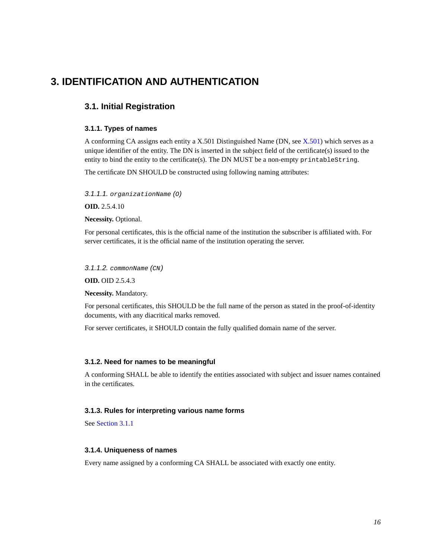# <span id="page-15-1"></span><span id="page-15-0"></span>**3. IDENTIFICATION AND AUTHENTICATION**

### <span id="page-15-2"></span>**3.1. Initial Registration**

### **3.1.1. Types of names**

A conforming CA assigns each entity a X.501 Distinguished Name (DN, see [X.501](#page-38-3)) which serves as a unique identifier of the entity. The DN is inserted in the subject field of the certificate(s) issued to the entity to bind the entity to the certificate(s). The DN MUST be a non-empty printableString.

The certificate DN SHOULD be constructed using following naming attributes:

3.1.1.1. organizationName (O)

**OID.** 2.5.4.10

**Necessity.** Optional.

For personal certificates, this is the official name of the institution the subscriber is affiliated with. For server certificates, it is the official name of the institution operating the server.

3.1.1.2. commonName (CN)

**OID.** OID 2.5.4.3

**Necessity.** Mandatory.

For personal certificates, this SHOULD be the full name of the person as stated in the proof-of-identity documents, with any diacritical marks removed.

For server certificates, it SHOULD contain the fully qualified domain name of the server.

### <span id="page-15-3"></span>**3.1.2. Need for names to be meaningful**

<span id="page-15-4"></span>A conforming SHALL be able to identify the entities associated with subject and issuer names contained in the certificates.

### **3.1.3. Rules for interpreting various name forms**

<span id="page-15-5"></span>See [Section 3.1.1](#page-15-2)

### **3.1.4. Uniqueness of names**

<span id="page-15-6"></span>Every name assigned by a conforming CA SHALL be associated with exactly one entity.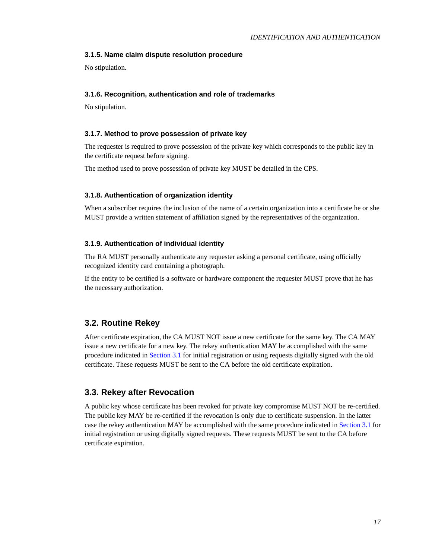### **3.1.5. Name claim dispute resolution procedure**

<span id="page-16-0"></span>No stipulation.

### **3.1.6. Recognition, authentication and role of trademarks**

<span id="page-16-1"></span>No stipulation.

### **3.1.7. Method to prove possession of private key**

The requester is required to prove possession of the private key which corresponds to the public key in the certificate request before signing.

<span id="page-16-2"></span>The method used to prove possession of private key MUST be detailed in the CPS.

### **3.1.8. Authentication of organization identity**

When a subscriber requires the inclusion of the name of a certain organization into a certificate he or she MUST provide a written statement of affiliation signed by the representatives of the organization.

### <span id="page-16-3"></span>**3.1.9. Authentication of individual identity**

The RA MUST personally authenticate any requester asking a personal certificate, using officially recognized identity card containing a photograph.

If the entity to be certified is a software or hardware component the requester MUST prove that he has the necessary authorization.

### <span id="page-16-4"></span>**3.2. Routine Rekey**

After certificate expiration, the CA MUST NOT issue a new certificate for the same key. The CA MAY issue a new certificate for a new key. The rekey authentication MAY be accomplished with the same procedure indicated in [Section 3.1](#page-15-1) for initial registration or using requests digitally signed with the old certificate. These requests MUST be sent to the CA before the old certificate expiration.

### <span id="page-16-5"></span>**3.3. Rekey after Revocation**

<span id="page-16-6"></span>A public key whose certificate has been revoked for private key compromise MUST NOT be re-certified. The public key MAY be re-certified if the revocation is only due to certificate suspension. In the latter case the rekey authentication MAY be accomplished with the same procedure indicated in [Section 3.1](#page-15-1) for initial registration or using digitally signed requests. These requests MUST be sent to the CA before certificate expiration.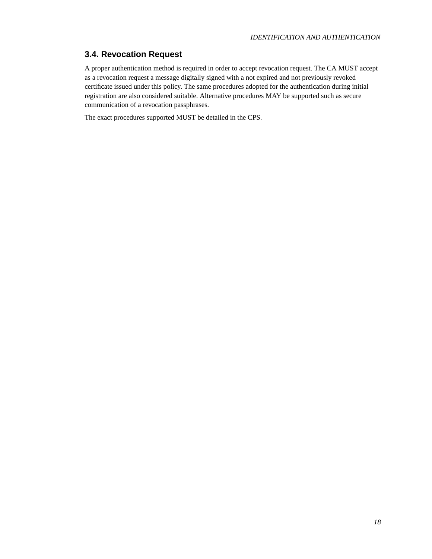### **3.4. Revocation Request**

A proper authentication method is required in order to accept revocation request. The CA MUST accept as a revocation request a message digitally signed with a not expired and not previously revoked certificate issued under this policy. The same procedures adopted for the authentication during initial registration are also considered suitable. Alternative procedures MAY be supported such as secure communication of a revocation passphrases.

The exact procedures supported MUST be detailed in the CPS.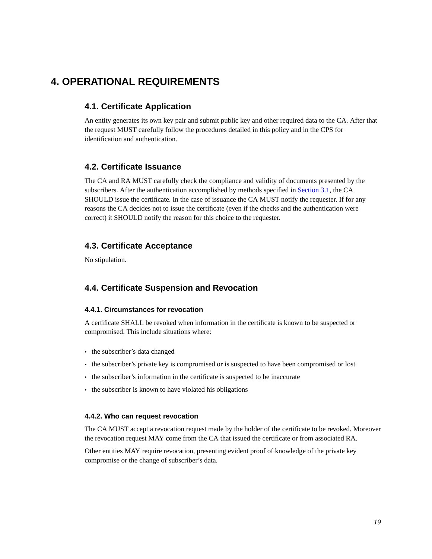# <span id="page-18-1"></span><span id="page-18-0"></span>**4. OPERATIONAL REQUIREMENTS**

### **4.1. Certificate Application**

An entity generates its own key pair and submit public key and other required data to the CA. After that the request MUST carefully follow the procedures detailed in this policy and in the CPS for identification and authentication.

### <span id="page-18-2"></span>**4.2. Certificate Issuance**

The CA and RA MUST carefully check the compliance and validity of documents presented by the subscribers. After the authentication accomplished by methods specified in [Section 3.1](#page-15-1), the CA SHOULD issue the certificate. In the case of issuance the CA MUST notify the requester. If for any reasons the CA decides not to issue the certificate (even if the checks and the authentication were correct) it SHOULD notify the reason for this choice to the requester.

### <span id="page-18-3"></span>**4.3. Certificate Acceptance**

<span id="page-18-4"></span>No stipulation.

### <span id="page-18-5"></span>**4.4. Certificate Suspension and Revocation**

### **4.4.1. Circumstances for revocation**

A certificate SHALL be revoked when information in the certificate is known to be suspected or compromised. This include situations where:

- the subscriber's data changed
- the subscriber's private key is compromised or is suspected to have been compromised or lost
- the subscriber's information in the certificate is suspected to be inaccurate
- <span id="page-18-6"></span>• the subscriber is known to have violated his obligations

### **4.4.2. Who can request revocation**

The CA MUST accept a revocation request made by the holder of the certificate to be revoked. Moreover the revocation request MAY come from the CA that issued the certificate or from associated RA.

<span id="page-18-7"></span>Other entities MAY require revocation, presenting evident proof of knowledge of the private key compromise or the change of subscriber's data.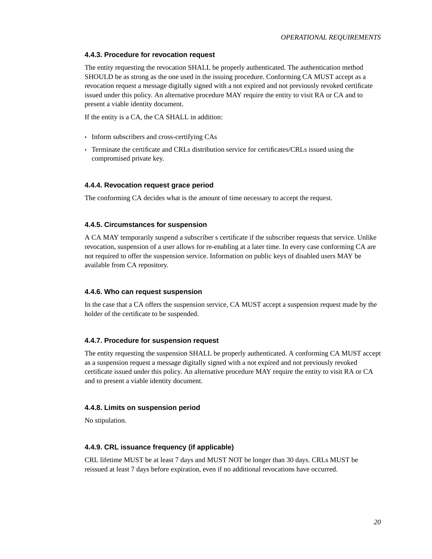#### **4.4.3. Procedure for revocation request**

The entity requesting the revocation SHALL be properly authenticated. The authentication method SHOULD be as strong as the one used in the issuing procedure. Conforming CA MUST accept as a revocation request a message digitally signed with a not expired and not previously revoked certificate issued under this policy. An alternative procedure MAY require the entity to visit RA or CA and to present a viable identity document.

If the entity is a CA, the CA SHALL in addition:

- Inform subscribers and cross-certifying CAs
- Terminate the certificate and CRLs distribution service for certificates/CRLs issued using the compromised private key.

### <span id="page-19-0"></span>**4.4.4. Revocation request grace period**

<span id="page-19-1"></span>The conforming CA decides what is the amount of time necessary to accept the request.

#### **4.4.5. Circumstances for suspension**

A CA MAY temporarily suspend a subscriber s certificate if the subscriber requests that service. Unlike revocation, suspension of a user allows for re-enabling at a later time. In every case conforming CA are not required to offer the suspension service. Information on public keys of disabled users MAY be available from CA repository.

#### <span id="page-19-2"></span>**4.4.6. Who can request suspension**

In the case that a CA offers the suspension service, CA MUST accept a suspension request made by the holder of the certificate to be suspended.

#### <span id="page-19-3"></span>**4.4.7. Procedure for suspension request**

The entity requesting the suspension SHALL be properly authenticated. A conforming CA MUST accept as a suspension request a message digitally signed with a not expired and not previously revoked certificate issued under this policy. An alternative procedure MAY require the entity to visit RA or CA and to present a viable identity document.

#### <span id="page-19-4"></span>**4.4.8. Limits on suspension period**

<span id="page-19-5"></span>No stipulation.

#### **4.4.9. CRL issuance frequency (if applicable)**

<span id="page-19-6"></span>CRL lifetime MUST be at least 7 days and MUST NOT be longer than 30 days. CRLs MUST be reissued at least 7 days before expiration, even if no additional revocations have occurred.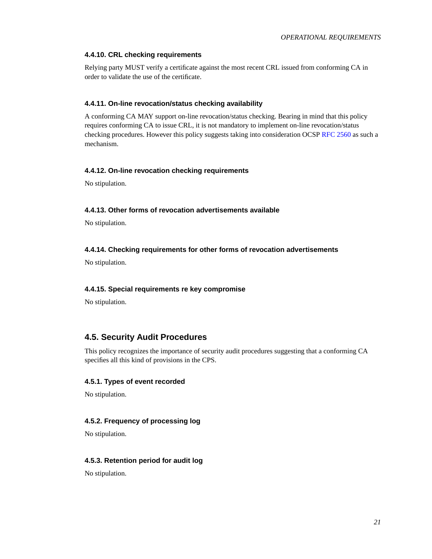### **4.4.10. CRL checking requirements**

Relying party MUST verify a certificate against the most recent CRL issued from conforming CA in order to validate the use of the certificate.

### <span id="page-20-0"></span>**4.4.11. On-line revocation/status checking availability**

A conforming CA MAY support on-line revocation/status checking. Bearing in mind that this policy requires conforming CA to issue CRL, it is not mandatory to implement on-line revocation/status checking procedures. However this policy suggests taking into consideration OCSP [RFC 2560](#page-38-4) as such a mechanism.

### <span id="page-20-1"></span>**4.4.12. On-line revocation checking requirements**

<span id="page-20-2"></span>No stipulation.

### **4.4.13. Other forms of revocation advertisements available**

<span id="page-20-3"></span>No stipulation.

### **4.4.14. Checking requirements for other forms of revocation advertisements**

<span id="page-20-4"></span>No stipulation.

### **4.4.15. Special requirements re key compromise**

No stipulation.

### <span id="page-20-5"></span>**4.5. Security Audit Procedures**

This policy recognizes the importance of security audit procedures suggesting that a conforming CA specifies all this kind of provisions in the CPS.

### <span id="page-20-6"></span>**4.5.1. Types of event recorded**

<span id="page-20-7"></span>No stipulation.

### **4.5.2. Frequency of processing log**

<span id="page-20-8"></span>No stipulation.

### <span id="page-20-9"></span>**4.5.3. Retention period for audit log**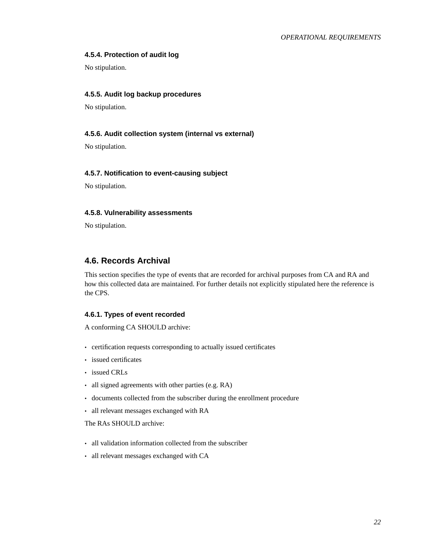### <span id="page-21-7"></span>**4.5.4. Protection of audit log**

<span id="page-21-0"></span>No stipulation.

### **4.5.5. Audit log backup procedures**

<span id="page-21-1"></span>No stipulation.

### **4.5.6. Audit collection system (internal vs external)**

<span id="page-21-2"></span>No stipulation.

#### **4.5.7. Notification to event-causing subject**

<span id="page-21-3"></span>No stipulation.

### **4.5.8. Vulnerability assessments**

No stipulation.

### <span id="page-21-4"></span>**4.6. Records Archival**

This section specifies the type of events that are recorded for archival purposes from CA and RA and how this collected data are maintained. For further details not explicitly stipulated here the reference is the CPS.

### <span id="page-21-5"></span>**4.6.1. Types of event recorded**

A conforming CA SHOULD archive:

- certification requests corresponding to actually issued certificates
- issued certificates
- issued CRLs
- all signed agreements with other parties (e.g. RA)
- documents collected from the subscriber during the enrollment procedure
- all relevant messages exchanged with RA

The RAs SHOULD archive:

- all validation information collected from the subscriber
- <span id="page-21-6"></span>• all relevant messages exchanged with CA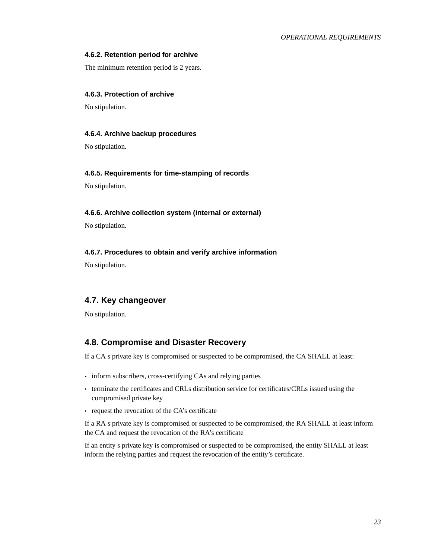### <span id="page-22-7"></span>**4.6.2. Retention period for archive**

The minimum retention period is 2 years.

#### **4.6.3. Protection of archive**

<span id="page-22-0"></span>No stipulation.

### **4.6.4. Archive backup procedures**

<span id="page-22-1"></span>No stipulation.

#### **4.6.5. Requirements for time-stamping of records**

<span id="page-22-2"></span>No stipulation.

### **4.6.6. Archive collection system (internal or external)**

<span id="page-22-3"></span>No stipulation.

### **4.6.7. Procedures to obtain and verify archive information**

No stipulation.

### <span id="page-22-4"></span>**4.7. Key changeover**

<span id="page-22-5"></span>No stipulation.

### **4.8. Compromise and Disaster Recovery**

If a CA s private key is compromised or suspected to be compromised, the CA SHALL at least:

- inform subscribers, cross-certifying CAs and relying parties
- terminate the certificates and CRLs distribution service for certificates/CRLs issued using the compromised private key
- request the revocation of the CA's certificate

If a RA s private key is compromised or suspected to be compromised, the RA SHALL at least inform the CA and request the revocation of the RA's certificate

<span id="page-22-6"></span>If an entity s private key is compromised or suspected to be compromised, the entity SHALL at least inform the relying parties and request the revocation of the entity's certificate.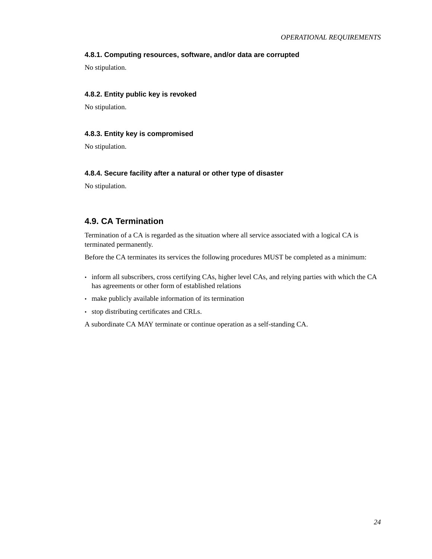### **4.8.1. Computing resources, software, and/or data are corrupted**

No stipulation.

### **4.8.2. Entity public key is revoked**

<span id="page-23-0"></span>No stipulation.

#### **4.8.3. Entity key is compromised**

<span id="page-23-1"></span>No stipulation.

#### **4.8.4. Secure facility after a natural or other type of disaster**

No stipulation.

### <span id="page-23-2"></span>**4.9. CA Termination**

Termination of a CA is regarded as the situation where all service associated with a logical CA is terminated permanently.

Before the CA terminates its services the following procedures MUST be completed as a minimum:

- inform all subscribers, cross certifying CAs, higher level CAs, and relying parties with which the CA has agreements or other form of established relations
- make publicly available information of its termination
- stop distributing certificates and CRLs.

A subordinate CA MAY terminate or continue operation as a self-standing CA.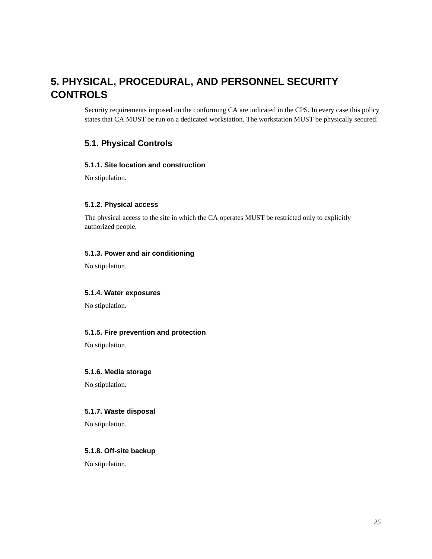# <span id="page-24-0"></span>**5. PHYSICAL, PROCEDURAL, AND PERSONNEL SECURITY CONTROLS**

Security requirements imposed on the conforming CA are indicated in the CPS. In every case this policy states that CA MUST be run on a dedicated workstation. The workstation MUST be physically secured.

### <span id="page-24-2"></span><span id="page-24-1"></span>**5.1. Physical Controls**

### **5.1.1. Site location and construction**

<span id="page-24-3"></span>No stipulation.

### **5.1.2. Physical access**

The physical access to the site in which the CA operates MUST be restricted only to explicitly authorized people.

### <span id="page-24-4"></span>**5.1.3. Power and air conditioning**

<span id="page-24-5"></span>No stipulation.

### **5.1.4. Water exposures**

<span id="page-24-6"></span>No stipulation.

### **5.1.5. Fire prevention and protection**

<span id="page-24-7"></span>No stipulation.

### **5.1.6. Media storage**

<span id="page-24-8"></span>No stipulation.

### **5.1.7. Waste disposal**

<span id="page-24-9"></span>No stipulation.

### <span id="page-24-10"></span>**5.1.8. Off-site backup**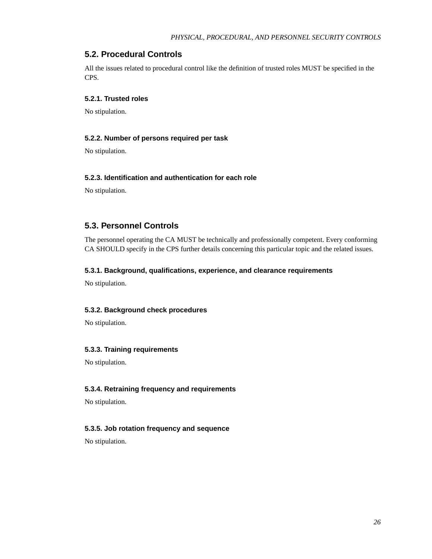### **5.2. Procedural Controls**

All the issues related to procedural control like the definition of trusted roles MUST be specified in the CPS.

### <span id="page-25-0"></span>**5.2.1. Trusted roles**

<span id="page-25-1"></span>No stipulation.

#### **5.2.2. Number of persons required per task**

<span id="page-25-2"></span>No stipulation.

### **5.2.3. Identification and authentication for each role**

No stipulation.

### <span id="page-25-3"></span>**5.3. Personnel Controls**

The personnel operating the CA MUST be technically and professionally competent. Every conforming CA SHOULD specify in the CPS further details concerning this particular topic and the related issues.

### <span id="page-25-4"></span>**5.3.1. Background, qualifications, experience, and clearance requirements**

<span id="page-25-5"></span>No stipulation.

#### **5.3.2. Background check procedures**

<span id="page-25-6"></span>No stipulation.

### **5.3.3. Training requirements**

<span id="page-25-7"></span>No stipulation.

### **5.3.4. Retraining frequency and requirements**

<span id="page-25-8"></span>No stipulation.

### <span id="page-25-9"></span>**5.3.5. Job rotation frequency and sequence**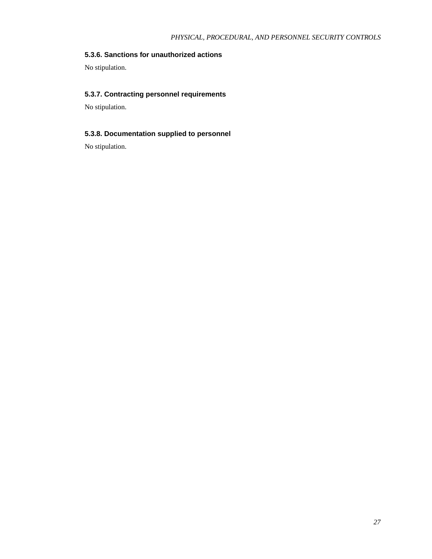### **5.3.6. Sanctions for unauthorized actions**

<span id="page-26-0"></span>No stipulation.

### **5.3.7. Contracting personnel requirements**

<span id="page-26-1"></span>No stipulation.

### **5.3.8. Documentation supplied to personnel**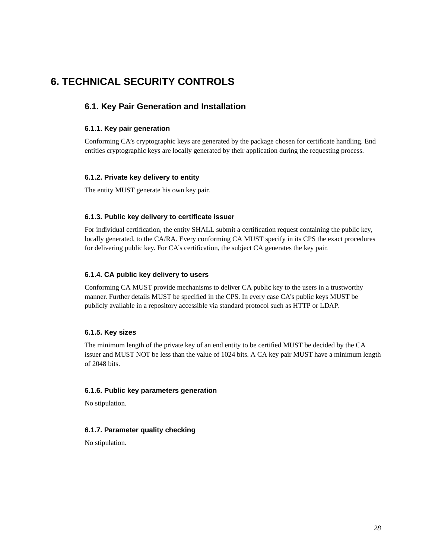# <span id="page-27-1"></span><span id="page-27-0"></span>**6. TECHNICAL SECURITY CONTROLS**

### <span id="page-27-2"></span>**6.1. Key Pair Generation and Installation**

### **6.1.1. Key pair generation**

Conforming CA's cryptographic keys are generated by the package chosen for certificate handling. End entities cryptographic keys are locally generated by their application during the requesting process.

### <span id="page-27-3"></span>**6.1.2. Private key delivery to entity**

<span id="page-27-4"></span>The entity MUST generate his own key pair.

### **6.1.3. Public key delivery to certificate issuer**

For individual certification, the entity SHALL submit a certification request containing the public key, locally generated, to the CA/RA. Every conforming CA MUST specify in its CPS the exact procedures for delivering public key. For CA's certification, the subject CA generates the key pair.

### <span id="page-27-5"></span>**6.1.4. CA public key delivery to users**

Conforming CA MUST provide mechanisms to deliver CA public key to the users in a trustworthy manner. Further details MUST be specified in the CPS. In every case CA's public keys MUST be publicly available in a repository accessible via standard protocol such as HTTP or LDAP.

### <span id="page-27-6"></span>**6.1.5. Key sizes**

The minimum length of the private key of an end entity to be certified MUST be decided by the CA issuer and MUST NOT be less than the value of 1024 bits. A CA key pair MUST have a minimum length of 2048 bits.

#### <span id="page-27-7"></span>**6.1.6. Public key parameters generation**

<span id="page-27-8"></span>No stipulation.

### <span id="page-27-10"></span><span id="page-27-9"></span>**6.1.7. Parameter quality checking**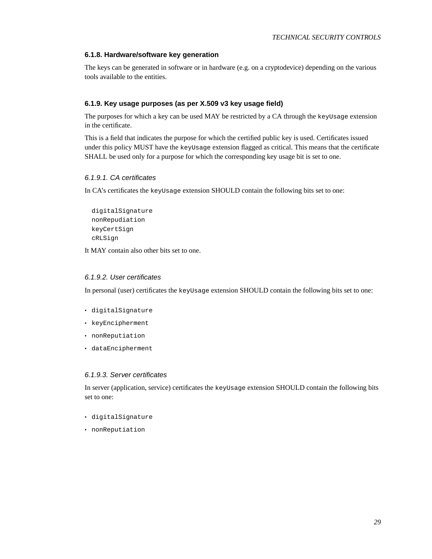### **6.1.8. Hardware/software key generation**

The keys can be generated in software or in hardware (e.g. on a cryptodevice) depending on the various tools available to the entities.

### **6.1.9. Key usage purposes (as per X.509 v3 key usage field)**

The purposes for which a key can be used MAY be restricted by a CA through the keyUsage extension in the certificate.

This is a field that indicates the purpose for which the certified public key is used. Certificates issued under this policy MUST have the keyUsage extension flagged as critical. This means that the certificate SHALL be used only for a purpose for which the corresponding key usage bit is set to one.

#### 6.1.9.1. CA certificates

In CA's certificates the keyUsage extension SHOULD contain the following bits set to one:

```
digitalSignature
nonRepudiation
keyCertSign
cRLSign
```
It MAY contain also other bits set to one.

#### 6.1.9.2. User certificates

In personal (user) certificates the keyUsage extension SHOULD contain the following bits set to one:

- digitalSignature
- keyEncipherment
- nonReputiation
- dataEncipherment

### 6.1.9.3. Server certificates

In server (application, service) certificates the keyUsage extension SHOULD contain the following bits set to one:

- digitalSignature
- <span id="page-28-0"></span>• nonReputiation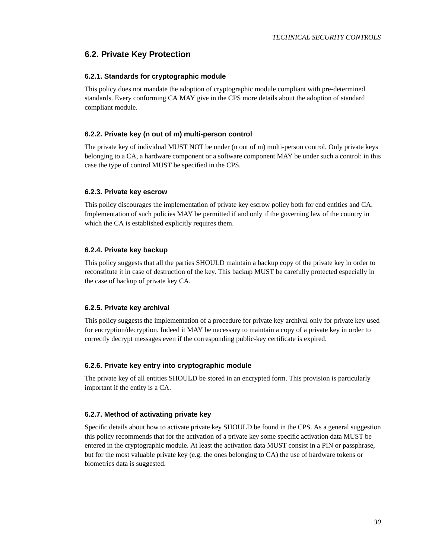### <span id="page-29-0"></span>**6.2. Private Key Protection**

### **6.2.1. Standards for cryptographic module**

This policy does not mandate the adoption of cryptographic module compliant with pre-determined standards. Every conforming CA MAY give in the CPS more details about the adoption of standard compliant module.

### <span id="page-29-1"></span>**6.2.2. Private key (n out of m) multi-person control**

The private key of individual MUST NOT be under (n out of m) multi-person control. Only private keys belonging to a CA, a hardware component or a software component MAY be under such a control: in this case the type of control MUST be specified in the CPS.

#### <span id="page-29-2"></span>**6.2.3. Private key escrow**

This policy discourages the implementation of private key escrow policy both for end entities and CA. Implementation of such policies MAY be permitted if and only if the governing law of the country in which the CA is established explicitly requires them.

### <span id="page-29-3"></span>**6.2.4. Private key backup**

This policy suggests that all the parties SHOULD maintain a backup copy of the private key in order to reconstitute it in case of destruction of the key. This backup MUST be carefully protected especially in the case of backup of private key CA.

### <span id="page-29-4"></span>**6.2.5. Private key archival**

This policy suggests the implementation of a procedure for private key archival only for private key used for encryption/decryption. Indeed it MAY be necessary to maintain a copy of a private key in order to correctly decrypt messages even if the corresponding public-key certificate is expired.

### <span id="page-29-5"></span>**6.2.6. Private key entry into cryptographic module**

The private key of all entities SHOULD be stored in an encrypted form. This provision is particularly important if the entity is a CA.

### <span id="page-29-6"></span>**6.2.7. Method of activating private key**

<span id="page-29-7"></span>Specific details about how to activate private key SHOULD be found in the CPS. As a general suggestion this policy recommends that for the activation of a private key some specific activation data MUST be entered in the cryptographic module. At least the activation data MUST consist in a PIN or passphrase, but for the most valuable private key (e.g. the ones belonging to CA) the use of hardware tokens or biometrics data is suggested.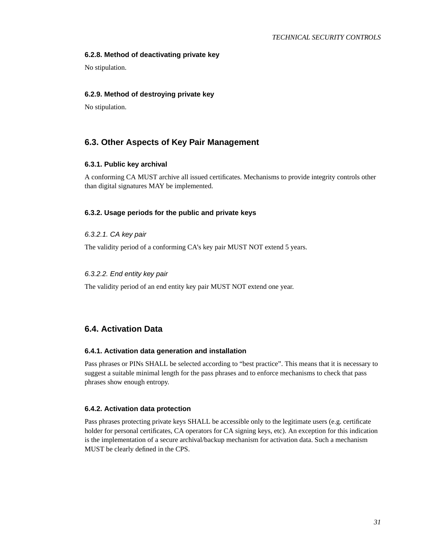### **6.2.8. Method of deactivating private key**

<span id="page-30-0"></span>No stipulation.

### **6.2.9. Method of destroying private key**

No stipulation.

### <span id="page-30-2"></span><span id="page-30-1"></span>**6.3. Other Aspects of Key Pair Management**

#### **6.3.1. Public key archival**

A conforming CA MUST archive all issued certificates. Mechanisms to provide integrity controls other than digital signatures MAY be implemented.

### <span id="page-30-3"></span>**6.3.2. Usage periods for the public and private keys**

#### 6.3.2.1. CA key pair

The validity period of a conforming CA's key pair MUST NOT extend 5 years.

#### 6.3.2.2. End entity key pair

The validity period of an end entity key pair MUST NOT extend one year.

### <span id="page-30-5"></span><span id="page-30-4"></span>**6.4. Activation Data**

#### **6.4.1. Activation data generation and installation**

Pass phrases or PINs SHALL be selected according to "best practice". This means that it is necessary to suggest a suitable minimal length for the pass phrases and to enforce mechanisms to check that pass phrases show enough entropy.

#### <span id="page-30-6"></span>**6.4.2. Activation data protection**

<span id="page-30-7"></span>Pass phrases protecting private keys SHALL be accessible only to the legitimate users (e.g. certificate holder for personal certificates, CA operators for CA signing keys, etc). An exception for this indication is the implementation of a secure archival/backup mechanism for activation data. Such a mechanism MUST be clearly defined in the CPS.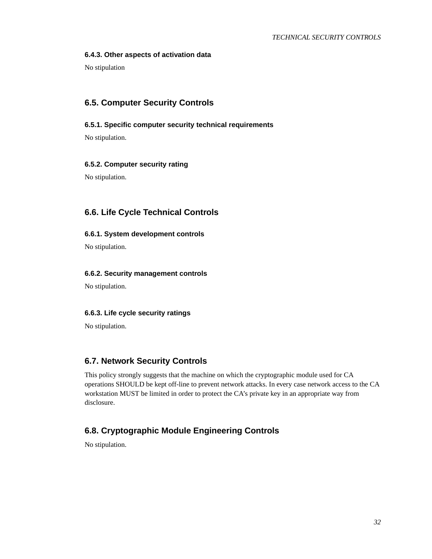### **6.4.3. Other aspects of activation data**

No stipulation

### <span id="page-31-1"></span><span id="page-31-0"></span>**6.5. Computer Security Controls**

### **6.5.1. Specific computer security technical requirements**

<span id="page-31-2"></span>No stipulation.

### **6.5.2. Computer security rating**

No stipulation.

### <span id="page-31-4"></span><span id="page-31-3"></span>**6.6. Life Cycle Technical Controls**

### **6.6.1. System development controls**

<span id="page-31-5"></span>No stipulation.

### **6.6.2. Security management controls**

<span id="page-31-6"></span>No stipulation.

### **6.6.3. Life cycle security ratings**

No stipulation.

### <span id="page-31-7"></span>**6.7. Network Security Controls**

This policy strongly suggests that the machine on which the cryptographic module used for CA operations SHOULD be kept off-line to prevent network attacks. In every case network access to the CA workstation MUST be limited in order to protect the CA's private key in an appropriate way from disclosure.

### <span id="page-31-8"></span>**6.8. Cryptographic Module Engineering Controls**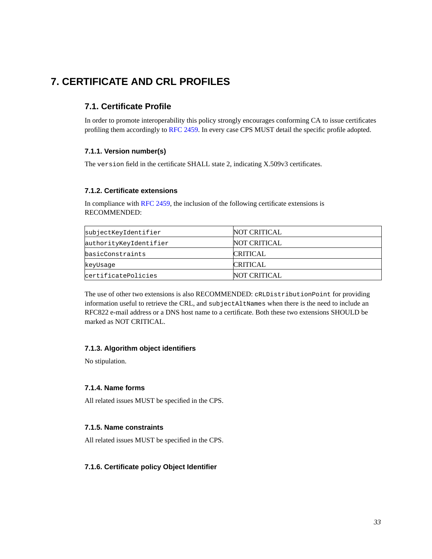# <span id="page-32-1"></span><span id="page-32-0"></span>**7. CERTIFICATE AND CRL PROFILES**

### **7.1. Certificate Profile**

In order to promote interoperability this policy strongly encourages conforming CA to issue certificates profiling them accordingly to [RFC 2459.](#page-38-5) In every case CPS MUST detail the specific profile adopted.

### <span id="page-32-2"></span>**7.1.1. Version number(s)**

<span id="page-32-3"></span>The version field in the certificate SHALL state 2, indicating X.509v3 certificates.

### **7.1.2. Certificate extensions**

In compliance with [RFC 2459](#page-38-5), the inclusion of the following certificate extensions is RECOMMENDED:

| subjectKeyIdentifier   | NOT CRITICAL        |
|------------------------|---------------------|
| authorityKeyIdentifier | <b>NOT CRITICAL</b> |
| basicConstraints       | <b>CRITICAL</b>     |
| keyUsaqe               | <b>CRITICAL</b>     |
| certificatePolicies    | <b>NOT CRITICAL</b> |

The use of other two extensions is also RECOMMENDED: cRLDistributionPoint for providing information useful to retrieve the CRL, and subjectAltNames when there is the need to include an RFC822 e-mail address or a DNS host name to a certificate. Both these two extensions SHOULD be marked as NOT CRITICAL.

### <span id="page-32-4"></span>**7.1.3. Algorithm object identifiers**

<span id="page-32-5"></span>No stipulation.

### **7.1.4. Name forms**

<span id="page-32-6"></span>All related issues MUST be specified in the CPS.

### **7.1.5. Name constraints**

<span id="page-32-7"></span>All related issues MUST be specified in the CPS.

### **7.1.6. Certificate policy Object Identifier**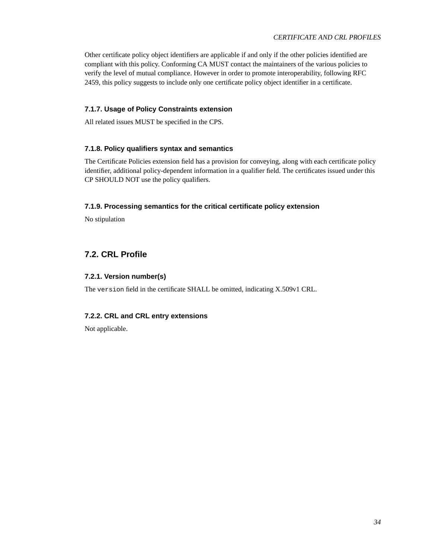Other certificate policy object identifiers are applicable if and only if the other policies identified are compliant with this policy. Conforming CA MUST contact the maintainers of the various policies to verify the level of mutual compliance. However in order to promote interoperability, following RFC 2459, this policy suggests to include only one certificate policy object identifier in a certificate.

### <span id="page-33-0"></span>**7.1.7. Usage of Policy Constraints extension**

<span id="page-33-1"></span>All related issues MUST be specified in the CPS.

### **7.1.8. Policy qualifiers syntax and semantics**

The Certificate Policies extension field has a provision for conveying, along with each certificate policy identifier, additional policy-dependent information in a qualifier field. The certificates issued under this CP SHOULD NOT use the policy qualifiers.

### <span id="page-33-2"></span>**7.1.9. Processing semantics for the critical certificate policy extension**

No stipulation

### <span id="page-33-4"></span><span id="page-33-3"></span>**7.2. CRL Profile**

### **7.2.1. Version number(s)**

<span id="page-33-5"></span>The version field in the certificate SHALL be omitted, indicating X.509v1 CRL.

### **7.2.2. CRL and CRL entry extensions**

Not applicable.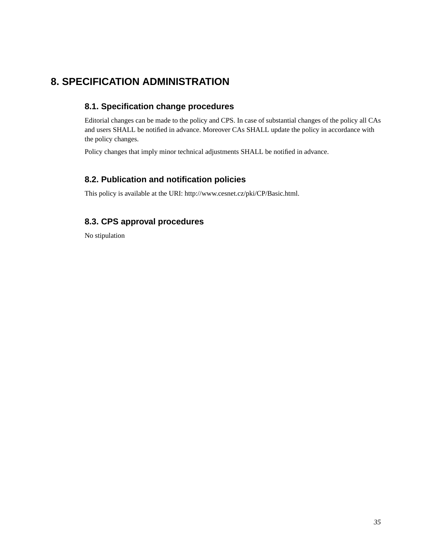# <span id="page-34-1"></span><span id="page-34-0"></span>**8. SPECIFICATION ADMINISTRATION**

### **8.1. Specification change procedures**

Editorial changes can be made to the policy and CPS. In case of substantial changes of the policy all CAs and users SHALL be notified in advance. Moreover CAs SHALL update the policy in accordance with the policy changes.

<span id="page-34-2"></span>Policy changes that imply minor technical adjustments SHALL be notified in advance.

### **8.2. Publication and notification policies**

<span id="page-34-3"></span>This policy is available at the URI: http://www.cesnet.cz/pki/CP/Basic.html.

### **8.3. CPS approval procedures**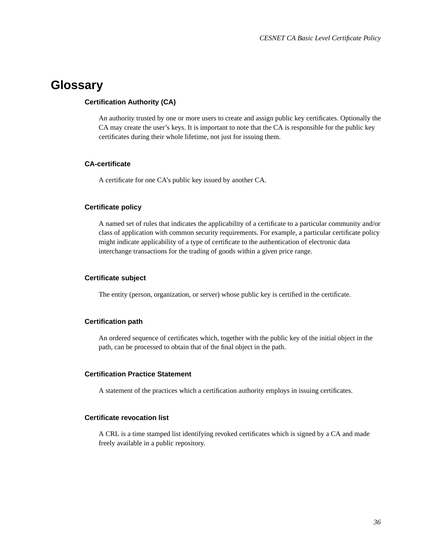# <span id="page-35-0"></span>**Glossary**

### **Certification Authority (CA)**

An authority trusted by one or more users to create and assign public key certificates. Optionally the CA may create the user's keys. It is important to note that the CA is responsible for the public key certificates during their whole lifetime, not just for issuing them.

### **CA-certificate**

A certificate for one CA's public key issued by another CA.

### **Certificate policy**

A named set of rules that indicates the applicability of a certificate to a particular community and/or class of application with common security requirements. For example, a particular certificate policy might indicate applicability of a type of certificate to the authentication of electronic data interchange transactions for the trading of goods within a given price range.

### **Certificate subject**

The entity (person, organization, or server) whose public key is certified in the certificate.

### **Certification path**

An ordered sequence of certificates which, together with the public key of the initial object in the path, can be processed to obtain that of the final object in the path.

### **Certification Practice Statement**

A statement of the practices which a certification authority employs in issuing certificates.

### **Certificate revocation list**

A CRL is a time stamped list identifying revoked certificates which is signed by a CA and made freely available in a public repository.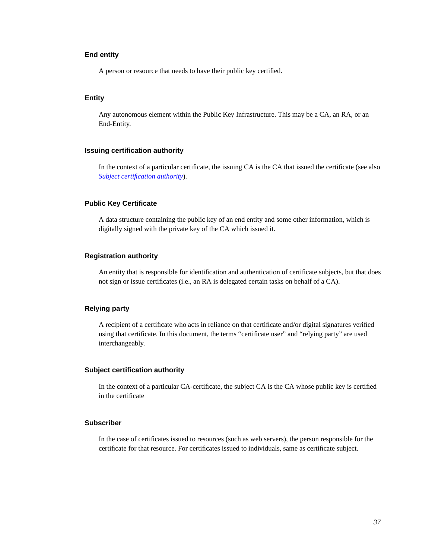### **End entity**

A person or resource that needs to have their public key certified.

### **Entity**

Any autonomous element within the Public Key Infrastructure. This may be a CA, an RA, or an End-Entity.

#### **Issuing certification authority**

In the context of a particular certificate, the issuing CA is the CA that issued the certificate (see also *[Subject certification authority](#page-36-0)*).

### **Public Key Certificate**

A data structure containing the public key of an end entity and some other information, which is digitally signed with the private key of the CA which issued it.

### **Registration authority**

An entity that is responsible for identification and authentication of certificate subjects, but that does not sign or issue certificates (i.e., an RA is delegated certain tasks on behalf of a CA).

### **Relying party**

A recipient of a certificate who acts in reliance on that certificate and/or digital signatures verified using that certificate. In this document, the terms "certificate user" and "relying party" are used interchangeably.

#### <span id="page-36-0"></span>**Subject certification authority**

In the context of a particular CA-certificate, the subject CA is the CA whose public key is certified in the certificate

### **Subscriber**

In the case of certificates issued to resources (such as web servers), the person responsible for the certificate for that resource. For certificates issued to individuals, same as certificate subject.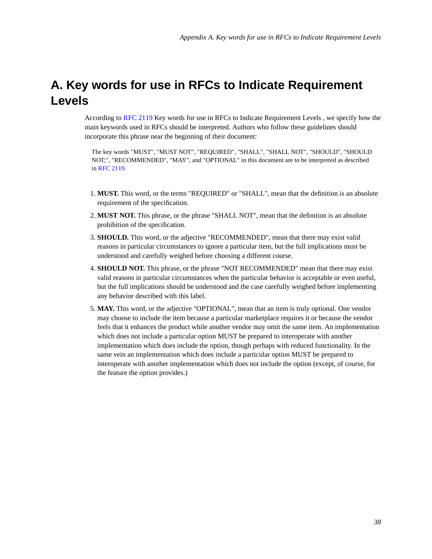# <span id="page-37-0"></span>**A. Key words for use in RFCs to Indicate Requirement Levels**

According to [RFC 2119](#page-38-2) Key words for use in RFCs to Indicate Requirement Levels , we specify how the main keywords used in RFCs should be interpreted. Authors who follow these guidelines should incorporate this phrase near the beginning of their document:

The key words "MUST", "MUST NOT", "REQUIRED", "SHALL", "SHALL NOT", "SHOULD", "SHOULD NOT;", "RECOMMENDED", "MAY", and "OPTIONAL" in this document are to be interpreted as described in [RFC 2119.](#page-38-2)

- 1. **MUST.** This word, or the terms "REQUIRED" or "SHALL", mean that the definition is an absolute requirement of the specification.
- 2. **MUST NOT.** This phrase, or the phrase "SHALL NOT", mean that the definition is an absolute prohibition of the specification.
- 3. **SHOULD.** This word, or the adjective "RECOMMENDED", mean that there may exist valid reasons in particular circumstances to ignore a particular item, but the full implications must be understood and carefully weighed before choosing a different course.
- 4. **SHOULD NOT.** This phrase, or the phrase "NOT RECOMMENDED" mean that there may exist valid reasons in particular circumstances when the particular behavior is acceptable or even useful, but the full implications should be understood and the case carefully weighed before implementing any behavior described with this label.
- 5. **MAY.** This word, or the adjective "OPTIONAL", mean that an item is truly optional. One vendor may choose to include the item because a particular marketplace requires it or because the vendor feels that it enhances the product while another vendor may omit the same item. An implementation which does not include a particular option MUST be prepared to interoperate with another implementation which does include the option, though perhaps with reduced functionality. In the same vein an implementation which does include a particular option MUST be prepared to interoperate with another implementation which does not include the option (except, of course, for the feature the option provides.)